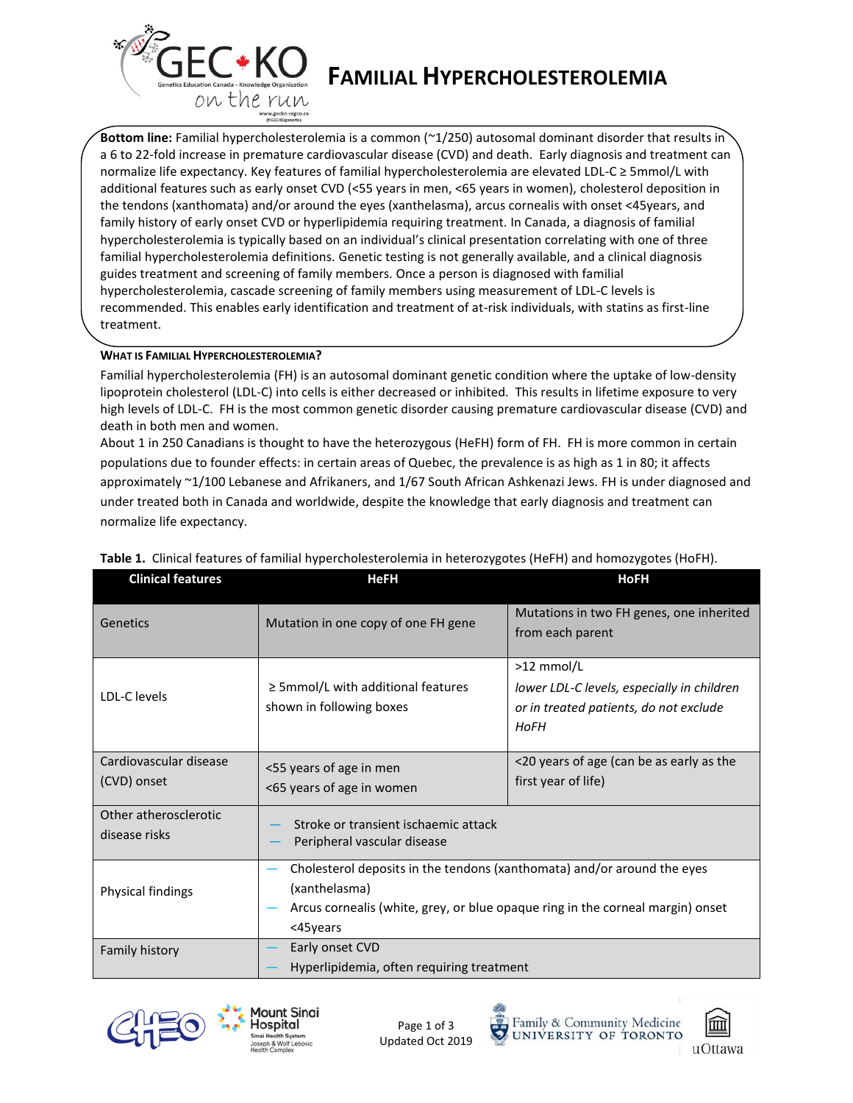

# **FAMILIAL HYPERCHOLESTEROLEMIA**

**Bottom line:** Familial hypercholesterolemia is a common (~1/250) autosomal dominant disorder that results in a 6 to 22-fold increase in premature cardiovascular disease (CVD) and death. Early diagnosis and treatment can normalize life expectancy. Key features of familial hypercholesterolemia are elevated LDL-C ≥ 5mmol/L with additional features such as early onset CVD (<55 years in men, <65 years in women), cholesterol deposition in the tendons (xanthomata) and/or around the eyes (xanthelasma), arcus cornealis with onset <45years, and family history of early onset CVD or hyperlipidemia requiring treatment. In Canada, a diagnosis of familial hypercholesterolemia is typically based on an individual's clinical presentation correlating with one of three familial hypercholesterolemia definitions. Genetic testing is not generally available, and a clinical diagnosis guides treatment and screening of family members. Once a person is diagnosed with familial hypercholesterolemia, cascade screening of family members using measurement of LDL-C levels is recommended. This enables early identification and treatment of at-risk individuals, with statins as first-line treatment.

## **WHAT IS FAMILIAL HYPERCHOLESTEROLEMIA?**

Familial hypercholesterolemia (FH) is an autosomal dominant genetic condition where the uptake of low-density lipoprotein cholesterol (LDL-C) into cells is either decreased or inhibited. This results in lifetime exposure to very high levels of LDL-C. FH is the most common genetic disorder causing premature cardiovascular disease (CVD) and death in both men and women.

About 1 in 250 Canadians is thought to have the heterozygous (HeFH) form of FH. FH is more common in certain populations due to founder effects: in certain areas of Quebec, the prevalence is as high as 1 in 80; it affects approximately ~1/100 Lebanese and Afrikaners, and 1/67 South African Ashkenazi Jews. FH is under diagnosed and under treated both in Canada and worldwide, despite the knowledge that early diagnosis and treatment can normalize life expectancy.

| <b>Clinical features</b> | <b>HeFH</b>                                                                    | <b>HoFH</b>                                |
|--------------------------|--------------------------------------------------------------------------------|--------------------------------------------|
| Genetics                 | Mutation in one copy of one FH gene                                            | Mutations in two FH genes, one inherited   |
|                          |                                                                                | from each parent                           |
| LDL-C levels             |                                                                                | >12 mmol/L                                 |
|                          | $\geq$ 5mmol/L with additional features                                        | lower LDL-C levels, especially in children |
|                          | shown in following boxes                                                       | or in treated patients, do not exclude     |
|                          |                                                                                | HoFH                                       |
| Cardiovascular disease   | <55 years of age in men                                                        | <20 years of age (can be as early as the   |
| (CVD) onset              | <65 years of age in women                                                      | first year of life)                        |
| Other atherosclerotic    | Stroke or transient ischaemic attack                                           |                                            |
| disease risks            | Peripheral vascular disease                                                    |                                            |
| Physical findings        | Cholesterol deposits in the tendons (xanthomata) and/or around the eyes        |                                            |
|                          | (xanthelasma)                                                                  |                                            |
|                          | Arcus cornealis (white, grey, or blue opaque ring in the corneal margin) onset |                                            |
|                          | <45years                                                                       |                                            |
| Family history           | Early onset CVD                                                                |                                            |
|                          | Hyperlipidemia, often requiring treatment                                      |                                            |

# **Table 1.** Clinical features of familial hypercholesterolemia in heterozygotes (HeFH) and homozygotes (HoFH).







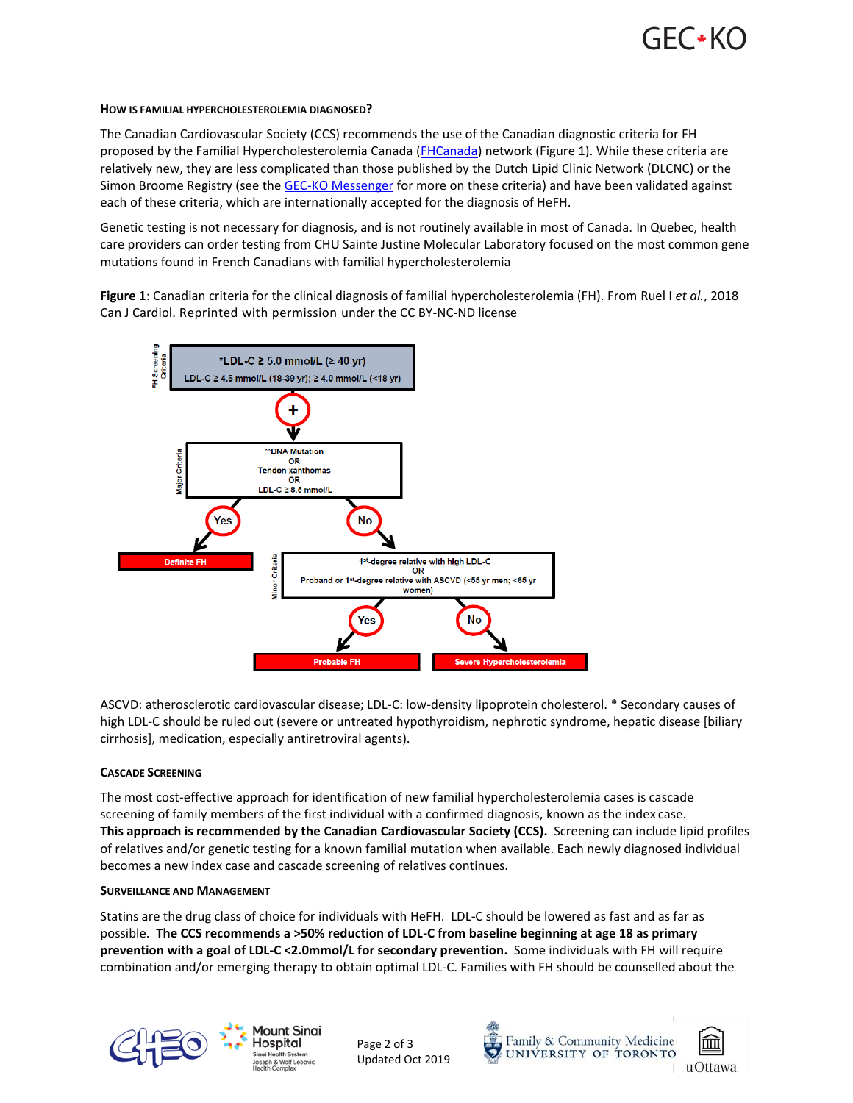

## **HOW IS FAMILIAL HYPERCHOLESTEROLEMIA DIAGNOSED?**

The Canadian Cardiovascular Society (CCS) recommends the use of the Canadian diagnostic criteria for FH proposed by the Familial Hypercholesterolemia Canada [\(FHCanada\)](https://www.fhcanada.net/) network (Figure 1). While these criteria are relatively new, they are less complicated than those published by the Dutch Lipid Clinic Network (DLCNC) or the Simon Broome Registry (see the [GEC-KO Messenger](https://geneticseducation.ca/educational-resources/gec-ko-messengers/familial-hypercholesterolemia/) for more on these criteria) and have been validated against each of these criteria, which are internationally accepted for the diagnosis of HeFH.

Genetic testing is not necessary for diagnosis, and is not routinely available in most of Canada. In Quebec, health care providers can order testing from CHU Sainte Justine Molecular Laboratory focused on the most common gene mutations found in French Canadians with familial hypercholesterolemia

**Figure 1**: Canadian criteria for the clinical diagnosis of familial hypercholesterolemia (FH). From Ruel I *et al.*, 2018 Can J Cardiol. Reprinted with permission under the CC BY-NC-ND license



ASCVD: atherosclerotic cardiovascular disease; LDL-C: low-density lipoprotein cholesterol. \* Secondary causes of high LDL-C should be ruled out (severe or untreated hypothyroidism, nephrotic syndrome, hepatic disease [biliary cirrhosis], medication, especially antiretroviral agents).

## **CASCADE SCREENING**

The most cost-effective approach for identification of new familial hypercholesterolemia cases is cascade screening of family members of the first individual with a confirmed diagnosis, known as the index case. **This approach is recommended by the Canadian Cardiovascular Society (CCS).** Screening can include lipid profiles of relatives and/or genetic testing for a known familial mutation when available. Each newly diagnosed individual becomes a new index case and cascade screening of relatives continues.

#### **SURVEILLANCE AND MANAGEMENT**

Statins are the drug class of choice for individuals with HeFH. LDL-C should be lowered as fast and as far as possible. **The CCS recommends a >50% reduction of LDL-C from baseline beginning at age 18 as primary prevention with a goal of LDL-C <2.0mmol/L for secondary prevention.** Some individuals with FH will require combination and/or emerging therapy to obtain optimal LDL-C. Families with FH should be counselled about the



Mount Sinai Hospital

Page 2 of 3 Updated Oct 2019





uOttawa